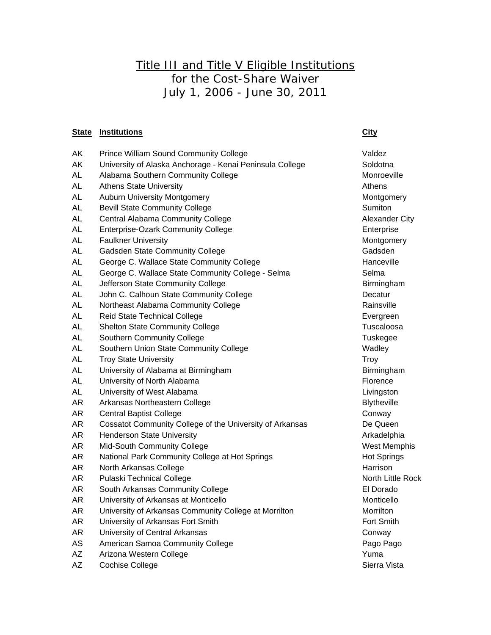## Title III and Title V Eligible Institutions for the Cost-Share Waiver July 1, 2006 - June 30, 2011

## **State Institutions City**

## AK Prince William Sound Community College Value Valdez AK University of Alaska Anchorage - Kenai Peninsula College Soldotna AL Alabama Southern Community College Monroeville Monroeville AL Athens State University Athens Athens Athens Athens Athens Athens Athens Athens AL Auburn University Montgomery Montgomery Montgomery AL Bevill State Community College Sumiton Sumiton AL Central Alabama Community College Alexander City AL Enterprise-Ozark Community College **Enterprise** Enterprise AL Faulkner University **Montgomery** Montgomery AL Gadsden State Community College Gadsden Gadsden AL George C. Wallace State Community College **Hanceville** Hanceville AL George C. Wallace State Community College - Selma AL Jefferson State Community College **Birmingham** Birmingham AL John C. Calhoun State Community College **Decatur** Decatur AL Northeast Alabama Community College **Rainsville** Rainsville AL Reid State Technical College **Exercise Exerges** Evergreen AL Shelton State Community College Tuscaloosa Tuscaloosa AL Southern Community College Tuskegee Tuskegee AL Southern Union State Community College **Wadley** Wadley AL Troy State University Troy Troy State University AL University of Alabama at Birmingham Birmingham Birmingham AL University of North Alabama Florence **Florence** AL University of West Alabama Livingston AR Arkansas Northeastern College Blytheville Blytheville AR Central Baptist College Conway AR Cossatot Community College of the University of Arkansas De Queen AR Henderson State University Arkadelphia AR Mid-South Community College West Memphis AR National Park Community College at Hot Springs **Hot Springs** Hot Springs AR North Arkansas College **Harrison** Harrison AR Pulaski Technical College North Little Rock North Little Rock AR South Arkansas Community College **Election Contracts** El Dorado AR University of Arkansas at Monticello Monticello Monticello AR University of Arkansas Community College at Morrilton Morrilton AR University of Arkansas Fort Smith Fort Smith Fort Smith AR University of Central Arkansas Conway AS American Samoa Community College **Pago Pago Pago Pago Pago Pago Pago Pago** AZ Arizona Western College **Xanada Arizona Western College** Vuma

AZ Cochise College Sierra Vista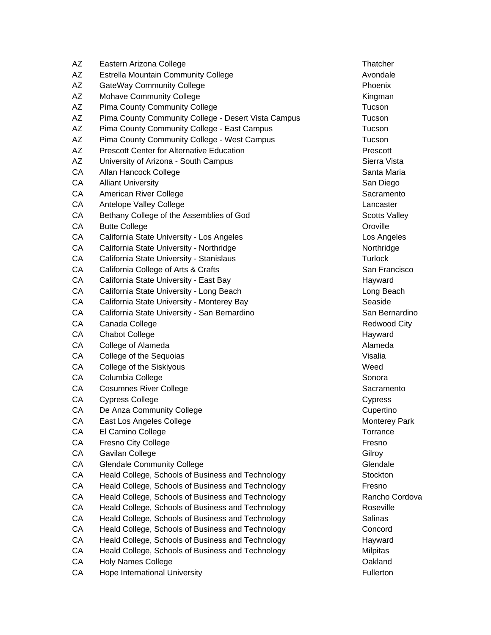| AΖ | Eastern Arizona College                             | Thatcher            |
|----|-----------------------------------------------------|---------------------|
| AΖ | <b>Estrella Mountain Community College</b>          | Avondale            |
| AΖ | <b>GateWay Community College</b>                    | Phoenix             |
| AZ | <b>Mohave Community College</b>                     | Kingman             |
| AZ | <b>Pima County Community College</b>                | Tucson              |
| AZ | Pima County Community College - Desert Vista Campus | Tucson              |
| AΖ | Pima County Community College - East Campus         | Tucson              |
| AZ | Pima County Community College - West Campus         | Tucson              |
| AZ | <b>Prescott Center for Alternative Education</b>    | Prescott            |
| AZ | University of Arizona - South Campus                | Sierra Vist         |
| CA | Allan Hancock College                               | Santa Mar           |
| CA | <b>Alliant University</b>                           | San Diego           |
| CA | American River College                              | Sacramen            |
| CA | Antelope Valley College                             | Lancaster           |
| CA | Bethany College of the Assemblies of God            | Scotts Val          |
| CA | <b>Butte College</b>                                | Oroville            |
| CA | California State University - Los Angeles           | Los Angel           |
| CA | California State University - Northridge            | Northridge          |
| CA | California State University - Stanislaus            | <b>Turlock</b>      |
| CA | California College of Arts & Crafts                 | San Frand           |
| CA | California State University - East Bay              | Hayward             |
| CA | California State University - Long Beach            | Long Bea            |
| CA | California State University - Monterey Bay          | Seaside             |
| CA | California State University - San Bernardino        | San Berna           |
| CA | Canada College                                      | Redwood             |
| CA | <b>Chabot College</b>                               | Hayward             |
| CA | College of Alameda                                  | Alameda             |
| CA | College of the Sequoias                             | Visalia             |
| CA | College of the Siskiyous                            | Weed                |
| CA | Columbia College                                    | Sonora              |
| CA | <b>Cosumnes River College</b>                       | Sacramen            |
| CA | <b>Cypress College</b>                              | Cypress             |
| CA | De Anza Community College                           | Cupertino           |
| CA | East Los Angeles College                            | Monterey            |
| CA | El Camino College                                   | Torrance            |
| CA | Fresno City College                                 | Fresno              |
| СA | Gavilan College                                     | Gilroy              |
| CA | <b>Glendale Community College</b>                   | Glendale            |
| CA | Heald College, Schools of Business and Technology   | Stockton            |
| CA | Heald College, Schools of Business and Technology   | Fresno              |
| CA | Heald College, Schools of Business and Technology   | Rancho <sub>C</sub> |
| СA | Heald College, Schools of Business and Technology   | Roseville           |
| CA | Heald College, Schools of Business and Technology   | Salinas             |
| CA | Heald College, Schools of Business and Technology   | Concord             |
| СA | Heald College, Schools of Business and Technology   | Hayward             |
| CA | Heald College, Schools of Business and Technology   | Milpitas            |
| СA | <b>Holy Names College</b>                           | Oakland             |
| CA | Hope International University                       | Fullerton           |

Kingman Sierra Vista Santa Maria San Diego Sacramento Lancaster Scotts Valley Los Angeles Northridge San Francisco Hayward Long Beach San Bernardino Redwood City Hayward Sacramento **Cypress** Cupertino Monterey Park Torrance **CA Health College, Schools and Technology** Rancho Cordova logy Roseville logy **East East Business Automation** Hayward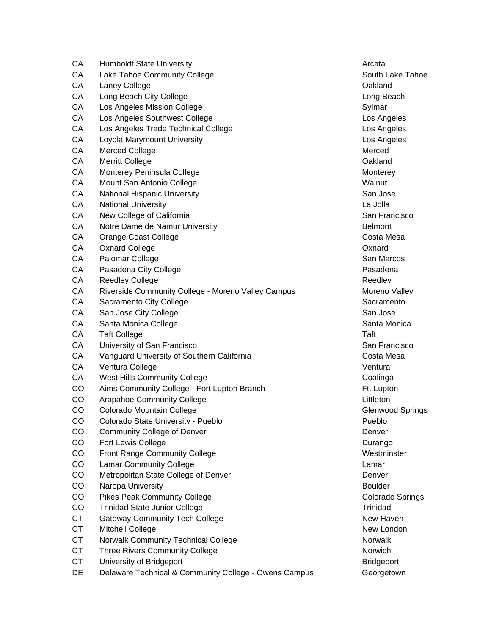| СA        | <b>Humboldt State University</b>                      | Arcata          |
|-----------|-------------------------------------------------------|-----------------|
| CA        | Lake Tahoe Community College                          | South La        |
| CA        | Laney College                                         | Oakland         |
| CA        | Long Beach City College                               | Long Bea        |
| CA        | Los Angeles Mission College                           | Sylmar          |
| CA        | Los Angeles Southwest College                         | Los Ange        |
| CA        | Los Angeles Trade Technical College                   | Los Ange        |
| CA        | Loyola Marymount University                           | Los Ange        |
| CA        | <b>Merced College</b>                                 | Merced          |
| CA        | <b>Merritt College</b>                                | Oakland         |
| CA        | Monterey Peninsula College                            | Monterey        |
| CA        | Mount San Antonio College                             | Walnut          |
| CA        | National Hispanic University                          | San Jose        |
| CA        | <b>National University</b>                            | La Jolla        |
| CA        | New College of California                             | San Fran        |
| CA        | Notre Dame de Namur University                        | <b>Belmont</b>  |
| CA        | Orange Coast College                                  | Costa Me        |
| CA        | <b>Oxnard College</b>                                 | Oxnard          |
| CA        | Palomar College                                       | San Maro        |
| CA        | Pasadena City College                                 | Pasaden         |
| CA        | <b>Reedley College</b>                                | Reedley         |
| CA        | Riverside Community College - Moreno Valley Campus    | Moreno \        |
| CA        | Sacramento City College                               | Sacrame         |
| CA        | San Jose City College                                 | San Jose        |
| CA        | Santa Monica College                                  | Santa Mo        |
| CA        | <b>Taft College</b>                                   | Taft            |
| CA        | University of San Francisco                           | San Fran        |
| CA        | Vanguard University of Southern California            | Costa Me        |
| CA        | Ventura College                                       | Ventura         |
| CA        | <b>West Hills Community College</b>                   | Coalinga        |
| CO        | Aims Community College - Fort Lupton Branch           | Ft. Lupto       |
| CO        | Arapahoe Community College                            | Littleton       |
| CO        | Colorado Mountain College                             | Glenwoo         |
| CO        | Colorado State University - Pueblo                    | Pueblo          |
| CO        | <b>Community College of Denver</b>                    | Denver          |
| CO        | Fort Lewis College                                    | Durango         |
| CO        | <b>Front Range Community College</b>                  | <b>Westmins</b> |
| CO        | <b>Lamar Community College</b>                        | Lamar           |
| CO        | Metropolitan State College of Denver                  | Denver          |
| CO        | Naropa University                                     | <b>Boulder</b>  |
| CO        | <b>Pikes Peak Community College</b>                   | Colorado        |
| CO        | <b>Trinidad State Junior College</b>                  | Trinidad        |
| <b>CT</b> | <b>Gateway Community Tech College</b>                 | New Hav         |
| <b>CT</b> | Mitchell College                                      | New Lon         |
| <b>CT</b> | Norwalk Community Technical College                   | Norwalk         |
| <b>CT</b> | <b>Three Rivers Community College</b>                 | Norwich         |
| <b>CT</b> | University of Bridgeport                              | <b>Bridgepo</b> |
| DE        | Delaware Technical & Community College - Owens Campus | Georgetc        |

South Lake Tahoe Long Beach Los Angeles Los Angeles Los Angeles **Monterey** San Jose San Francisco Costa Mesa San Marcos Pasadena Moreno Valley Sacramento San Jose Santa Monica San Francisco Costa Mesa Coalinga Ft. Lupton Glenwood Springs Durango Westminster Colorado Springs **New Haven** New London Norwich Bridgeport Georgetown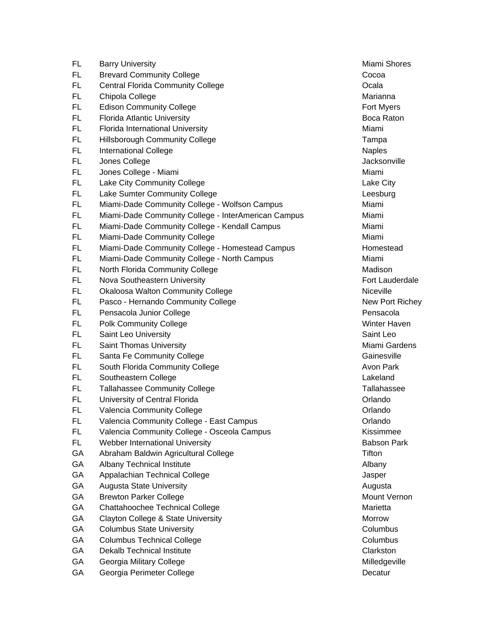| FL.       | <b>Barry University</b>                             | Miami Sho         |
|-----------|-----------------------------------------------------|-------------------|
| FL.       | <b>Brevard Community College</b>                    | Cocoa             |
| FL        | <b>Central Florida Community College</b>            | Ocala             |
| FL.       | Chipola College                                     | Marianna          |
| FL        | <b>Edison Community College</b>                     | Fort Myers        |
| FL        | <b>Florida Atlantic University</b>                  | <b>Boca Rato</b>  |
| FL.       | Florida International University                    | Miami             |
| FL.       | <b>Hillsborough Community College</b>               | Tampa             |
| FL.       | <b>International College</b>                        | <b>Naples</b>     |
| FL        | Jones College                                       | Jacksonvil        |
| FL        | Jones College - Miami                               | Miami             |
| FL.       | Lake City Community College                         | Lake City         |
| FL        | Lake Sumter Community College                       | Leesburg          |
| FL        | Miami-Dade Community College - Wolfson Campus       | Miami             |
| FL.       | Miami-Dade Community College - InterAmerican Campus | Miami             |
| FL.       | Miami-Dade Community College - Kendall Campus       | Miami             |
| FL.       | Miami-Dade Community College                        | Miami             |
| FL.       | Miami-Dade Community College - Homestead Campus     | Homestea          |
| FL        | Miami-Dade Community College - North Campus         | Miami             |
| FL.       | North Florida Community College                     | Madison           |
| FL        | Nova Southeastern University                        | Fort Laude        |
| FL        | <b>Okaloosa Walton Community College</b>            | Niceville         |
| FL.       | Pasco - Hernando Community College                  | New Port          |
| FL.       | Pensacola Junior College                            | Pensacola         |
| FL.       | <b>Polk Community College</b>                       | Winter Ha         |
| FL.       | Saint Leo University                                | Saint Leo         |
| FL        | Saint Thomas University                             | Miami Gar         |
| FL        | Santa Fe Community College                          | Gainesville       |
| FL        | South Florida Community College                     | Avon Park         |
| FL.       | Southeastern College                                | Lakeland          |
| FL        | <b>Tallahassee Community College</b>                | <b>Tallahasse</b> |
| FL.       | University of Central Florida                       | Orlando           |
| FL        | Valencia Community College                          | Orlando           |
| <b>FL</b> | Valencia Community College - East Campus            | Orlando           |
| FL        | Valencia Community College - Osceola Campus         | Kissimme          |
| FL.       | Webber International University                     | Babson Pa         |
| GA        | Abraham Baldwin Agricultural College                | Tifton            |
| GA        | Albany Technical Institute                          | Albany            |
| GA        | Appalachian Technical College                       | Jasper            |
| GA        | <b>Augusta State University</b>                     | Augusta           |
| GA        | <b>Brewton Parker College</b>                       | Mount Ver         |
| GA        | Chattahoochee Technical College                     | Marietta          |
| GA        | Clayton College & State University                  | Morrow            |
| GA        | <b>Columbus State University</b>                    | Columbus          |
| GA        | <b>Columbus Technical College</b>                   | Columbus          |
| GA        | <b>Dekalb Technical Institute</b>                   | Clarkston         |
| GA        | Georgia Military College                            | Milledgevi        |
| GA        | Georgia Perimeter College                           | Decatur           |

Miami Shores Marianna Fort Myers Boca Raton Jacksonville Lake City Leesburg Pus - Homestead Fort Lauderdale New Port Richey Pensacola **Winter Haven** Miami Gardens **Gainesville** Avon Park Tallahassee Kissimmee Babson Park Augusta Mount Vernon Columbus Columbus **Clarkston Milledgeville**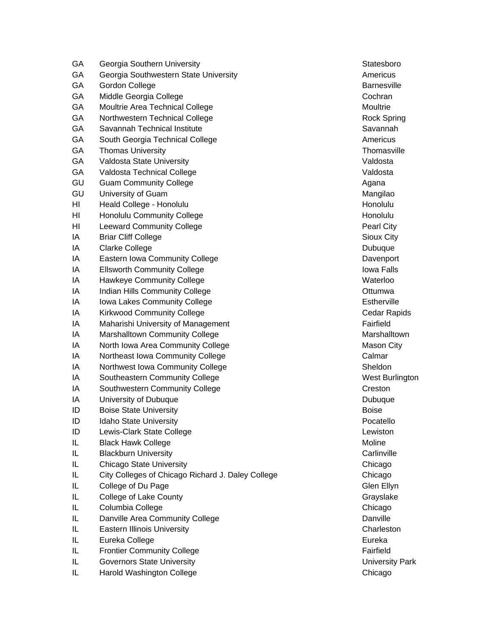| Georgia Southern University           | Statesborg                                                                                                                                                                                                                                                                                                                                                                                                                                                                                                                                                                                                                                                                                                                                                                                                                                                                                                            |
|---------------------------------------|-----------------------------------------------------------------------------------------------------------------------------------------------------------------------------------------------------------------------------------------------------------------------------------------------------------------------------------------------------------------------------------------------------------------------------------------------------------------------------------------------------------------------------------------------------------------------------------------------------------------------------------------------------------------------------------------------------------------------------------------------------------------------------------------------------------------------------------------------------------------------------------------------------------------------|
| Georgia Southwestern State University | Americus                                                                                                                                                                                                                                                                                                                                                                                                                                                                                                                                                                                                                                                                                                                                                                                                                                                                                                              |
| <b>Gordon College</b>                 | <b>Barnesvill</b>                                                                                                                                                                                                                                                                                                                                                                                                                                                                                                                                                                                                                                                                                                                                                                                                                                                                                                     |
| Middle Georgia College                | Cochran                                                                                                                                                                                                                                                                                                                                                                                                                                                                                                                                                                                                                                                                                                                                                                                                                                                                                                               |
| Moultrie Area Technical College       | Moultrie                                                                                                                                                                                                                                                                                                                                                                                                                                                                                                                                                                                                                                                                                                                                                                                                                                                                                                              |
| Northwestern Technical College        | Rock Sprii                                                                                                                                                                                                                                                                                                                                                                                                                                                                                                                                                                                                                                                                                                                                                                                                                                                                                                            |
| Savannah Technical Institute          | Savannah                                                                                                                                                                                                                                                                                                                                                                                                                                                                                                                                                                                                                                                                                                                                                                                                                                                                                                              |
| South Georgia Technical College       | Americus                                                                                                                                                                                                                                                                                                                                                                                                                                                                                                                                                                                                                                                                                                                                                                                                                                                                                                              |
| <b>Thomas University</b>              | Thomasvil                                                                                                                                                                                                                                                                                                                                                                                                                                                                                                                                                                                                                                                                                                                                                                                                                                                                                                             |
| Valdosta State University             | Valdosta                                                                                                                                                                                                                                                                                                                                                                                                                                                                                                                                                                                                                                                                                                                                                                                                                                                                                                              |
| Valdosta Technical College            | Valdosta                                                                                                                                                                                                                                                                                                                                                                                                                                                                                                                                                                                                                                                                                                                                                                                                                                                                                                              |
| <b>Guam Community College</b>         | Agana                                                                                                                                                                                                                                                                                                                                                                                                                                                                                                                                                                                                                                                                                                                                                                                                                                                                                                                 |
| University of Guam                    | Mangilao                                                                                                                                                                                                                                                                                                                                                                                                                                                                                                                                                                                                                                                                                                                                                                                                                                                                                                              |
| Heald College - Honolulu              | Honolulu                                                                                                                                                                                                                                                                                                                                                                                                                                                                                                                                                                                                                                                                                                                                                                                                                                                                                                              |
| <b>Honolulu Community College</b>     | Honolulu                                                                                                                                                                                                                                                                                                                                                                                                                                                                                                                                                                                                                                                                                                                                                                                                                                                                                                              |
| <b>Leeward Community College</b>      | Pearl City                                                                                                                                                                                                                                                                                                                                                                                                                                                                                                                                                                                                                                                                                                                                                                                                                                                                                                            |
| <b>Briar Cliff College</b>            | <b>Sioux City</b>                                                                                                                                                                                                                                                                                                                                                                                                                                                                                                                                                                                                                                                                                                                                                                                                                                                                                                     |
| <b>Clarke College</b>                 | Dubuque                                                                                                                                                                                                                                                                                                                                                                                                                                                                                                                                                                                                                                                                                                                                                                                                                                                                                                               |
| Eastern Iowa Community College        | Davenport                                                                                                                                                                                                                                                                                                                                                                                                                                                                                                                                                                                                                                                                                                                                                                                                                                                                                                             |
| <b>Ellsworth Community College</b>    | <b>Iowa Falls</b>                                                                                                                                                                                                                                                                                                                                                                                                                                                                                                                                                                                                                                                                                                                                                                                                                                                                                                     |
|                                       | Waterloo                                                                                                                                                                                                                                                                                                                                                                                                                                                                                                                                                                                                                                                                                                                                                                                                                                                                                                              |
|                                       | Ottumwa                                                                                                                                                                                                                                                                                                                                                                                                                                                                                                                                                                                                                                                                                                                                                                                                                                                                                                               |
|                                       | Estherville                                                                                                                                                                                                                                                                                                                                                                                                                                                                                                                                                                                                                                                                                                                                                                                                                                                                                                           |
|                                       | Cedar Ra                                                                                                                                                                                                                                                                                                                                                                                                                                                                                                                                                                                                                                                                                                                                                                                                                                                                                                              |
|                                       | Fairfield                                                                                                                                                                                                                                                                                                                                                                                                                                                                                                                                                                                                                                                                                                                                                                                                                                                                                                             |
|                                       | Marshallto                                                                                                                                                                                                                                                                                                                                                                                                                                                                                                                                                                                                                                                                                                                                                                                                                                                                                                            |
|                                       | <b>Mason Cit</b>                                                                                                                                                                                                                                                                                                                                                                                                                                                                                                                                                                                                                                                                                                                                                                                                                                                                                                      |
|                                       | Calmar                                                                                                                                                                                                                                                                                                                                                                                                                                                                                                                                                                                                                                                                                                                                                                                                                                                                                                                |
|                                       | Sheldon                                                                                                                                                                                                                                                                                                                                                                                                                                                                                                                                                                                                                                                                                                                                                                                                                                                                                                               |
|                                       | <b>West Burli</b>                                                                                                                                                                                                                                                                                                                                                                                                                                                                                                                                                                                                                                                                                                                                                                                                                                                                                                     |
|                                       | Creston                                                                                                                                                                                                                                                                                                                                                                                                                                                                                                                                                                                                                                                                                                                                                                                                                                                                                                               |
|                                       | Dubuque                                                                                                                                                                                                                                                                                                                                                                                                                                                                                                                                                                                                                                                                                                                                                                                                                                                                                                               |
|                                       | <b>Boise</b>                                                                                                                                                                                                                                                                                                                                                                                                                                                                                                                                                                                                                                                                                                                                                                                                                                                                                                          |
|                                       | Pocatello                                                                                                                                                                                                                                                                                                                                                                                                                                                                                                                                                                                                                                                                                                                                                                                                                                                                                                             |
|                                       | Lewiston                                                                                                                                                                                                                                                                                                                                                                                                                                                                                                                                                                                                                                                                                                                                                                                                                                                                                                              |
|                                       | Moline                                                                                                                                                                                                                                                                                                                                                                                                                                                                                                                                                                                                                                                                                                                                                                                                                                                                                                                |
|                                       | Carlinville                                                                                                                                                                                                                                                                                                                                                                                                                                                                                                                                                                                                                                                                                                                                                                                                                                                                                                           |
|                                       | Chicago                                                                                                                                                                                                                                                                                                                                                                                                                                                                                                                                                                                                                                                                                                                                                                                                                                                                                                               |
|                                       | Chicago                                                                                                                                                                                                                                                                                                                                                                                                                                                                                                                                                                                                                                                                                                                                                                                                                                                                                                               |
|                                       | Glen Ellyn                                                                                                                                                                                                                                                                                                                                                                                                                                                                                                                                                                                                                                                                                                                                                                                                                                                                                                            |
|                                       | Grayslake                                                                                                                                                                                                                                                                                                                                                                                                                                                                                                                                                                                                                                                                                                                                                                                                                                                                                                             |
|                                       | Chicago                                                                                                                                                                                                                                                                                                                                                                                                                                                                                                                                                                                                                                                                                                                                                                                                                                                                                                               |
|                                       | Danville                                                                                                                                                                                                                                                                                                                                                                                                                                                                                                                                                                                                                                                                                                                                                                                                                                                                                                              |
|                                       | Charlestor                                                                                                                                                                                                                                                                                                                                                                                                                                                                                                                                                                                                                                                                                                                                                                                                                                                                                                            |
|                                       | Eureka                                                                                                                                                                                                                                                                                                                                                                                                                                                                                                                                                                                                                                                                                                                                                                                                                                                                                                                |
|                                       | Fairfield                                                                                                                                                                                                                                                                                                                                                                                                                                                                                                                                                                                                                                                                                                                                                                                                                                                                                                             |
|                                       | University                                                                                                                                                                                                                                                                                                                                                                                                                                                                                                                                                                                                                                                                                                                                                                                                                                                                                                            |
| Harold Washington College             | Chicago                                                                                                                                                                                                                                                                                                                                                                                                                                                                                                                                                                                                                                                                                                                                                                                                                                                                                                               |
|                                       | <b>Hawkeye Community College</b><br>Indian Hills Community College<br>Iowa Lakes Community College<br><b>Kirkwood Community College</b><br>Maharishi University of Management<br>Marshalltown Community College<br>North Iowa Area Community College<br>Northeast Iowa Community College<br>Northwest Iowa Community College<br>Southeastern Community College<br>Southwestern Community College<br>University of Dubuque<br><b>Boise State University</b><br>Idaho State University<br>Lewis-Clark State College<br><b>Black Hawk College</b><br><b>Blackburn University</b><br><b>Chicago State University</b><br>City Colleges of Chicago Richard J. Daley College<br>College of Du Page<br><b>College of Lake County</b><br>Columbia College<br>Danville Area Community College<br><b>Eastern Illinois University</b><br>Eureka College<br><b>Frontier Community College</b><br><b>Governors State University</b> |

Statesboro **Barnesville** Rock Spring Savannah Thomasville Mangilao Pearl City Sioux City Dubuque Davenport Iowa Falls Estherville Cedar Rapids **Marshalltown** Mason City West Burlington **Dubuque Carlinville** Chicago **ICOLLEGE Chicago Chicago** Glen Ellyn Grayslake Chicago Charleston **University Park** Chicago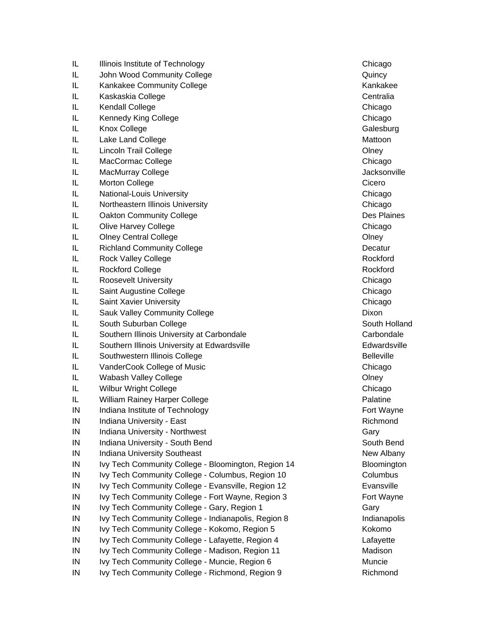| IL         | Illinois Institute of Technology                    | Chicago           |
|------------|-----------------------------------------------------|-------------------|
| IL         | John Wood Community College                         | Quincy            |
| IL         | Kankakee Community College                          | Kankakee          |
| IL         | Kaskaskia College                                   | Centralia         |
| IL         | Kendall College                                     | Chicago           |
| IL         | Kennedy King College                                | Chicago           |
| IL         | Knox College                                        | Galesburg         |
| IL         | Lake Land College                                   | Mattoon           |
| IL         | <b>Lincoln Trail College</b>                        | Olney             |
| IL         | MacCormac College                                   | Chicago           |
| IL         | <b>MacMurray College</b>                            | Jacksonvi         |
| IL         | <b>Morton College</b>                               | Cicero            |
| IL         | National-Louis University                           | Chicago           |
| IL         | Northeastern Illinois University                    | Chicago           |
| IL         | <b>Oakton Community College</b>                     | Des Plain         |
| IL         | Olive Harvey College                                | Chicago           |
| IL         | <b>Olney Central College</b>                        | Olney             |
| IL         | <b>Richland Community College</b>                   | Decatur           |
| IL         | <b>Rock Valley College</b>                          | Rockford          |
| IL         | <b>Rockford College</b>                             | Rockford          |
| IL         | <b>Roosevelt University</b>                         | Chicago           |
| IL         | Saint Augustine College                             | Chicago           |
| IL         | Saint Xavier University                             | Chicago           |
| IL         | Sauk Valley Community College                       | Dixon             |
| IL         | South Suburban College                              | South Hol         |
| IL         | Southern Illinois University at Carbondale          | Carbonda          |
| IL         | Southern Illinois University at Edwardsville        | Edwardsv          |
| IL         | Southwestern Illinois College                       | <b>Belleville</b> |
| IL         | VanderCook College of Music                         | Chicago           |
| IL         | Wabash Valley College                               | Olney             |
| IL         | <b>Wilbur Wright College</b>                        | Chicago           |
| IL         | William Rainey Harper College                       | Palatine          |
| IN         | Indiana Institute of Technology                     | Fort Wayr         |
| IN         | Indiana University - East                           | Richmond          |
| $\sf IN$   | Indiana University - Northwest                      | Gary              |
| $\sf IN$   | Indiana University - South Bend                     | South Ber         |
| $\sf IN$   | <b>Indiana University Southeast</b>                 | New Alba          |
| IN         | Ivy Tech Community College - Bloomington, Region 14 | Blooming          |
| $\sf IN$   | Ivy Tech Community College - Columbus, Region 10    | Columbus          |
| ${\sf IN}$ | Ivy Tech Community College - Evansville, Region 12  | Evansville        |
| IN         | Ivy Tech Community College - Fort Wayne, Region 3   | Fort Wayr         |
| IN         | Ivy Tech Community College - Gary, Region 1         | Gary              |
| $\sf IN$   | Ivy Tech Community College - Indianapolis, Region 8 | Indianapo         |
| $\sf IN$   | Ivy Tech Community College - Kokomo, Region 5       | Kokomo            |
| IN         | Ivy Tech Community College - Lafayette, Region 4    | Lafayette         |
| IN         | Ivy Tech Community College - Madison, Region 11     | Madison           |
| IN         | Ivy Tech Community College - Muncie, Region 6       | Muncie            |
| IN         | Ivy Tech Community College - Richmond, Region 9     | Richmond          |

Kankakee Centralia Chicago Galesburg Jacksonville Des Plaines South Holland Carbondale Edwardsville Fort Wayne Richmond South Bend New Albany **Iva Tech Community College - Bloomington** In 10 Columbus, Region 10 Columbus, Region 10 Columbus, Region 10 Columbus, Region 10 Columbus, Region 10 Columbus,  $R = 100$ n 12 Evansville IV Ivy Tech Community Contract Community Contract Contract Contract Contract Contract Contract Contract Contract Contract Contract Contract Contract Contract Contract Contract Contract Contract Contract Contract Contract C Indianapolis, Region 8 Indianapolis, Region 8 In Ivy Tech College - Kokomo, Region 5 Kokomo, Region 5 Kokomo, Region 5 Kokomo, Region 5 Kokomo, Region 5 Kokomo, Region 5 Kokomo, Region 5 Kokomo, Region 5 Kokomo, Region 5 Kokomo, Region 5 Kokomo, Region 5 Kokomo, Regio 4 Lafayette I1 **Ivy Tech Community College - Madison** IN Ivy Tech Community College - Richmond, Region 9 Richmond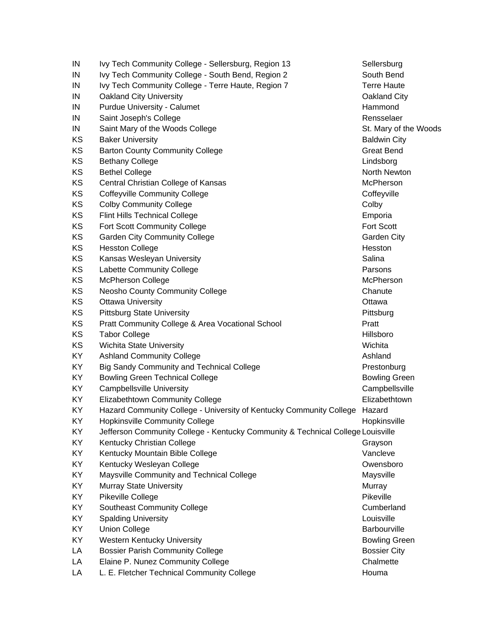| IN  | Ivy Tech Community College - Sellersburg, Region 13                             | Sellersburg           |
|-----|---------------------------------------------------------------------------------|-----------------------|
| IN  | Ivy Tech Community College - South Bend, Region 2                               | South Bend            |
| IN  | Ivy Tech Community College - Terre Haute, Region 7                              | <b>Terre Haute</b>    |
| IN  | <b>Oakland City University</b>                                                  | Oakland City          |
| IN  | <b>Purdue University - Calumet</b>                                              | Hammond               |
| IN  | Saint Joseph's College                                                          | Rensselaer            |
| IN  | Saint Mary of the Woods College                                                 | St. Mary of the Woods |
| KS  | <b>Baker University</b>                                                         | <b>Baldwin City</b>   |
| KS  | <b>Barton County Community College</b>                                          | <b>Great Bend</b>     |
| KS  | <b>Bethany College</b>                                                          | Lindsborg             |
| KS  | <b>Bethel College</b>                                                           | North Newton          |
| KS  | Central Christian College of Kansas                                             | McPherson             |
| KS  | <b>Coffeyville Community College</b>                                            | Coffeyville           |
| KS  | <b>Colby Community College</b>                                                  | Colby                 |
| KS  | <b>Flint Hills Technical College</b>                                            | Emporia               |
| KS  | <b>Fort Scott Community College</b>                                             | Fort Scott            |
| KS  | <b>Garden City Community College</b>                                            | <b>Garden City</b>    |
| KS  | <b>Hesston College</b>                                                          | Hesston               |
| KS  | Kansas Wesleyan University                                                      | Salina                |
| KS  | Labette Community College                                                       | Parsons               |
| KS  | <b>McPherson College</b>                                                        | McPherson             |
| KS  | <b>Neosho County Community College</b>                                          | Chanute               |
| KS  | <b>Ottawa University</b>                                                        | Ottawa                |
| KS  | <b>Pittsburg State University</b>                                               | Pittsburg             |
| KS  | Pratt Community College & Area Vocational School                                | Pratt                 |
| KS  | <b>Tabor College</b>                                                            | Hillsboro             |
| KS  | Wichita State University                                                        | Wichita               |
| KY  | <b>Ashland Community College</b>                                                | Ashland               |
| KY  | <b>Big Sandy Community and Technical College</b>                                | Prestonburg           |
| KY  | <b>Bowling Green Technical College</b>                                          | <b>Bowling Green</b>  |
| KY  | <b>Campbellsville University</b>                                                | Campbellsville        |
| KY  | Elizabethtown Community College                                                 | Elizabethtown         |
| KY  | Hazard Community College - University of Kentucky Community College             | Hazard                |
| KY  | <b>Hopkinsville Community College</b>                                           | Hopkinsville          |
| KY. | Jefferson Community College - Kentucky Community & Technical College Louisville |                       |
| KY  | Kentucky Christian College                                                      | Grayson               |
| KY  | Kentucky Mountain Bible College                                                 | Vancleve              |
| KY  | Kentucky Wesleyan College                                                       | Owensboro             |
| KY  | Maysville Community and Technical College                                       | Maysville             |
| KY  | Murray State University                                                         | Murray                |
| KY  | Pikeville College                                                               | Pikeville             |
| KY. | <b>Southeast Community College</b>                                              | Cumberland            |
| KY  | <b>Spalding University</b>                                                      | Louisville            |
| KY  | <b>Union College</b>                                                            | Barbourville          |
| KY  | <b>Western Kentucky University</b>                                              | <b>Bowling Green</b>  |
| LA  | <b>Bossier Parish Community College</b>                                         | <b>Bossier City</b>   |
| LA  | Elaine P. Nunez Community College                                               | Chalmette             |
| LA  | L. E. Fletcher Technical Community College                                      | Houma                 |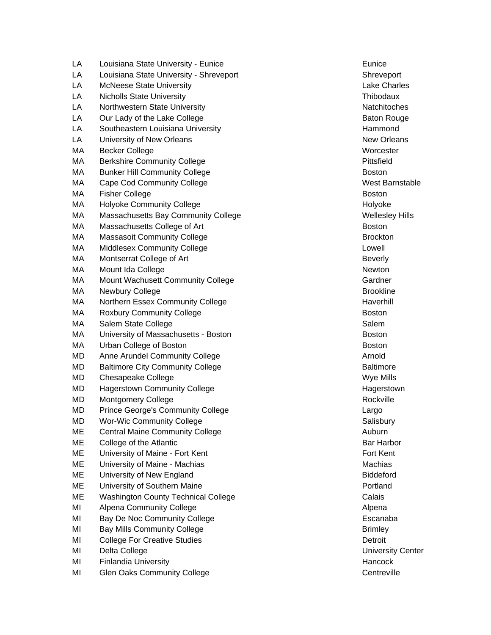LA Louisiana State University - Eunice **Eunice Eunice** Eunice LA Louisiana State University - Shreveport Shreveport Shreveport LA McNeese State University **Lake Charles** Lake Charles LA Nicholls State University Thibodaux LA Northwestern State University Natchitoches Natchitoches LA Our Lady of the Lake College Baton Rouge Baton Rouge LA Southeastern Louisiana University **Hammond** Hammond LA University of New Orleans New Orleans New Orleans New Orleans MA Becker College Worcester Worcester MA Berkshire Community College **Pittsfield** MA Bunker Hill Community College **Boston** Boston MA Cape Cod Community College New York Cape Cod Community College New York Cape Code Control of the West Barnstable MA Fisher College **Boston** Boston **Boston** Boston **Boston** MA Holyoke Community College **Holyoke** Holyoke Holyoke MA Massachusetts Bay Community College Massachusetts Bay Community College MA Massachusetts College of Art Boston Boston Boston MA Massasoit Community College Brockton Brockton MA Middlesex Community College Lowell and College Lowell and Lowell and Lowell and Lowell and Lowell and Lowell MA Montserrat College of Art **Beverly Beverly** MA Mount Ida College Newton Newton Newton Newton MA Mount Wachusett Community College Community College Cardner MA Newbury College **Brookline** Brookline MA Northern Essex Community College **Haverhill** Haverhill MA Roxbury Community College **Boston** Boston Boston MA Salem State College Salem Salem Salem Salem Salem Salem Salem Salem Salem Salem Salem Salem Salem Salem Salem Salem Salem Salem Salem Salem Salem Salem Salem Salem Salem Salem Salem Salem Salem Salem Salem Salem Salem S MA University of Massachusetts - Boston Boston Boston Boston MA Urban College of Boston Boston Boston Boston Boston Boston Boston Boston Boston Boston Boston Boston Boston MD Anne Arundel Community College Arnold Arnold Arnold Arnold MD Baltimore City Community College **Baltimore** Baltimore MD Chesapeake College New York College New York 2012 19:00 New York 2012 19:00 New York 2012 19:00 New York 20 MD Hagerstown Community College **Hagerstown** Hagerstown MD Montgomery College **Rockville** Rockville MD Prince George's Community College Largo Largo Largo MD Wor-Wic Community College Salisbury College Salisbury Salisbury ME Central Maine Community College Auburn 2008 1999 Auburn ME College of the Atlantic **Bar Harbor** Bar Harbor **Bar Harbor** Bar Harbor ME University of Maine - Fort Kent Fort Fort Kent Fort Kent Fort Kent ME University of Maine - Machias Machias Machias Machias Machias Machias Machias Machias Machias Machias Machias Machias Machias Machias Machias Machias Machias Machias Machias Machias Machias Machias Machias Machias Machi ME University of New England Biddeford Biddeford ME University of Southern Maine **Properties** And The Portland ME Washington County Technical College Calais Calais MI Alpena Community College Alpena Alpena Alpena MI Bay De Noc Community College **Example 2018** Escanaba MI Bay Mills Community College **Britannia** Brimley Brimley MI College For Creative Studies **Detroit** Detroit MI Delta College National College Contract Center Center Center Center Center Center Center Center Center Center MI Finlandia University **Hancock Hancock Hancock Hancock** MI Glen Oaks Community College Centreville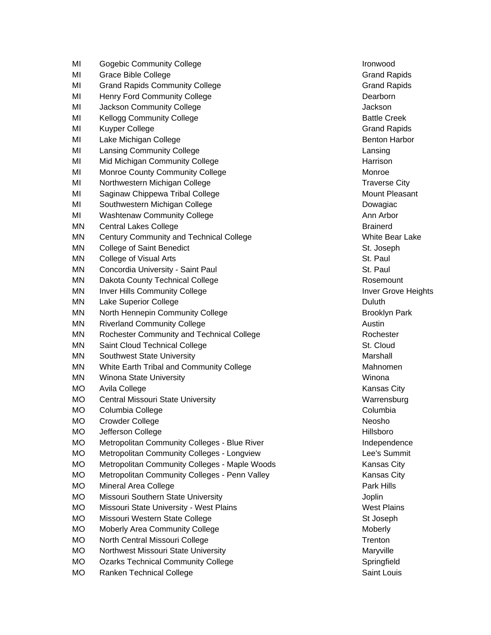| MI        | <b>Gogebic Community College</b>              | Ironwood          |
|-----------|-----------------------------------------------|-------------------|
| MI        | <b>Grace Bible College</b>                    | <b>Grand Ra</b>   |
| MI        | <b>Grand Rapids Community College</b>         | <b>Grand Ra</b>   |
| MI        | <b>Henry Ford Community College</b>           | Dearborn          |
| MI        | Jackson Community College                     | Jackson           |
| MI        | <b>Kellogg Community College</b>              | <b>Battle Cre</b> |
| MI        | <b>Kuyper College</b>                         | <b>Grand Ra</b>   |
| MI        | Lake Michigan College                         | Benton Ha         |
| MI        | <b>Lansing Community College</b>              | Lansing           |
| MI        | Mid Michigan Community College                | Harrison          |
| MI        | Monroe County Community College               | Monroe            |
| MI        | Northwestern Michigan College                 | Traverse          |
| MI        | Saginaw Chippewa Tribal College               | Mount Ple         |
| MI        | Southwestern Michigan College                 | Dowagiac          |
| MI        | <b>Washtenaw Community College</b>            | Ann Arbor         |
| ΜN        | <b>Central Lakes College</b>                  | <b>Brainerd</b>   |
| ΜN        | Century Community and Technical College       | White Bea         |
| ΜN        | <b>College of Saint Benedict</b>              | St. Joseph        |
| MN        | College of Visual Arts                        | St. Paul          |
| MN        | Concordia University - Saint Paul             | St. Paul          |
| MN        | Dakota County Technical College               | Rosemou           |
| MN        | <b>Inver Hills Community College</b>          | <b>Inver Grov</b> |
| ΜN        | Lake Superior College                         | Duluth            |
| ΜN        | North Hennepin Community College              | Brooklyn I        |
| MN        | <b>Riverland Community College</b>            | Austin            |
| ΜN        | Rochester Community and Technical College     | Rochester         |
| ΜN        | Saint Cloud Technical College                 | St. Cloud         |
| MN        | Southwest State University                    | Marshall          |
| MN        | White Earth Tribal and Community College      | Mahnome           |
| MN        | Winona State University                       | Winona            |
| <b>MO</b> | Avila College                                 | Kansas C          |
| <b>MO</b> | Central Missouri State University             | Warrensb          |
| <b>MO</b> | Columbia College                              | Columbia          |
| МO        | Crowder College                               | Neosho            |
| <b>MO</b> | Jefferson College                             | Hillsboro         |
| <b>MO</b> | Metropolitan Community Colleges - Blue River  | Independ          |
| <b>MO</b> | Metropolitan Community Colleges - Longview    | Lee's Sun         |
| <b>MO</b> | Metropolitan Community Colleges - Maple Woods | Kansas C          |
| <b>MO</b> | Metropolitan Community Colleges - Penn Valley | Kansas C          |
| <b>MO</b> | Mineral Area College                          | Park Hills        |
| MO        | Missouri Southern State University            | Joplin            |
| <b>MO</b> | Missouri State University - West Plains       | <b>West Plair</b> |
| <b>MO</b> | Missouri Western State College                | St Joseph         |
| <b>MO</b> | Moberly Area Community College                | Moberly           |
| MO        | North Central Missouri College                | Trenton           |
| <b>MO</b> | Northwest Missouri State University           | Maryville         |
| <b>MO</b> | <b>Ozarks Technical Community College</b>     | Springfield       |
| MO        | Ranken Technical College                      | Saint Loui        |

**Grand Rapids** Grand Rapids Dearborn **Battle Creek Grand Rapids** Benton Harbor Traverse City Mount Pleasant Dowagiac Ann Arbor White Bear Lake St. Joseph Rosemount Inver Grove Heights Brooklyn Park Rochester Mahnomen Kansas City Warrensburg Columbia Independence Lee's Summit ods - Mansas City ey Mansas City Park Hills **West Plains** St Joseph Maryville Springfield Saint Louis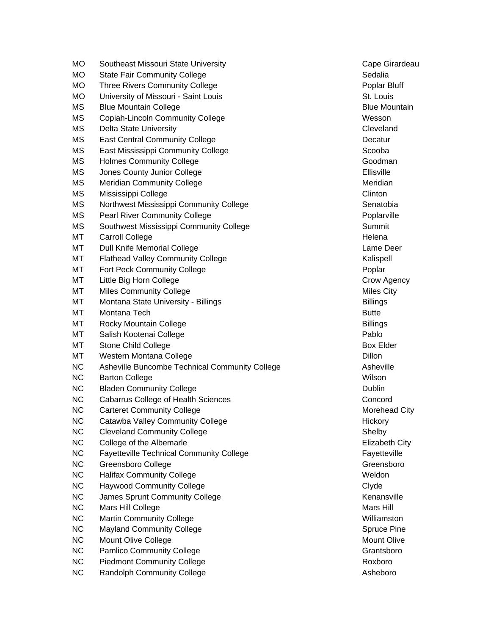| МO        | Southeast Missouri State University             | Cape Gira        |
|-----------|-------------------------------------------------|------------------|
| <b>MO</b> | <b>State Fair Community College</b>             | Sedalia          |
| МO        | <b>Three Rivers Community College</b>           | Poplar Blu       |
| <b>MO</b> | University of Missouri - Saint Louis            | St. Louis        |
| <b>MS</b> | <b>Blue Mountain College</b>                    | <b>Blue Moun</b> |
| <b>MS</b> | <b>Copiah-Lincoln Community College</b>         | Wesson           |
| <b>MS</b> | <b>Delta State University</b>                   | Cleveland        |
| <b>MS</b> | <b>East Central Community College</b>           | Decatur          |
| <b>MS</b> | East Mississippi Community College              | Scooba           |
| MS        | <b>Holmes Community College</b>                 | Goodman          |
| <b>MS</b> | Jones County Junior College                     | Ellisville       |
| <b>MS</b> | <b>Meridian Community College</b>               | Meridian         |
| <b>MS</b> | Mississippi College                             | Clinton          |
| <b>MS</b> | Northwest Mississippi Community College         | Senatobia        |
| <b>MS</b> | <b>Pearl River Community College</b>            | Poplarville      |
| <b>MS</b> | Southwest Mississippi Community College         | Summit           |
| МT        | <b>Carroll College</b>                          | Helena           |
| МT        | Dull Knife Memorial College                     | Lame Dee         |
| МT        | <b>Flathead Valley Community College</b>        | Kalispell        |
| MT        | Fort Peck Community College                     | Poplar           |
| MT        | Little Big Horn College                         | Crow Ager        |
| MT        | <b>Miles Community College</b>                  | Miles City       |
| MT        | Montana State University - Billings             | <b>Billings</b>  |
| MT        | Montana Tech                                    | <b>Butte</b>     |
| MT        | Rocky Mountain College                          | <b>Billings</b>  |
| MT        | Salish Kootenai College                         | Pablo            |
| МT        | <b>Stone Child College</b>                      | Box Elder        |
| MT        | Western Montana College                         | Dillon           |
| <b>NC</b> | Asheville Buncombe Technical Community College  | Asheville        |
| <b>NC</b> | <b>Barton College</b>                           | Wilson           |
| NC        | <b>Bladen Community College</b>                 | Dublin           |
| <b>NC</b> | <b>Cabarrus College of Health Sciences</b>      | Concord          |
| <b>NC</b> | <b>Carteret Community College</b>               | Morehead         |
| <b>NC</b> | Catawba Valley Community College                | Hickory          |
| <b>NC</b> | <b>Cleveland Community College</b>              | Shelby           |
| <b>NC</b> | College of the Albemarle                        | Elizabeth 0      |
| <b>NC</b> | <b>Fayetteville Technical Community College</b> | Fayetteville     |
| <b>NC</b> | <b>Greensboro College</b>                       | Greensbor        |
| <b>NC</b> | <b>Halifax Community College</b>                | Weldon           |
| <b>NC</b> | <b>Haywood Community College</b>                | Clyde            |
| <b>NC</b> | James Sprunt Community College                  | Kenansvill       |
| $NC$      | Mars Hill College                               | Mars Hill        |
| <b>NC</b> | <b>Martin Community College</b>                 | Williamsto       |
| <b>NC</b> | <b>Mayland Community College</b>                | Spruce Pir       |
| <b>NC</b> | Mount Olive College                             | Mount Oliv       |
| NC        | <b>Pamlico Community College</b>                | Grantsboro       |
| <b>NC</b> | <b>Piedmont Community College</b>               | Roxboro          |
| <b>NC</b> | <b>Randolph Community College</b>               | Asheboro         |
|           |                                                 |                  |

Cape Girardeau Poplar Bluff St. Louis **Blue Mountain Cleveland** Senatobia Poplar ville Lame Deer Kalispell Crow Agency Miles City Morehead City Elizabeth City Fayetteville Greensboro Kenansville Williamston Spruce Pine Mount Olive Grantsboro Asheboro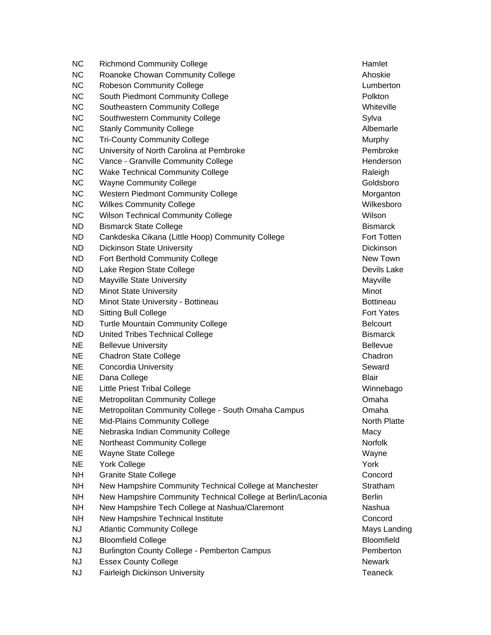| <b>NC</b> | <b>Richmond Community College</b>                           | Hamlet            |
|-----------|-------------------------------------------------------------|-------------------|
| <b>NC</b> | Roanoke Chowan Community College                            | Ahoskie           |
| <b>NC</b> | <b>Robeson Community College</b>                            | Lumbertor         |
| <b>NC</b> | South Piedmont Community College                            | Polkton           |
| <b>NC</b> | Southeastern Community College                              | Whiteville        |
| <b>NC</b> | Southwestern Community College                              | Sylva             |
| <b>NC</b> | <b>Stanly Community College</b>                             | Albemarle         |
| <b>NC</b> | <b>Tri-County Community College</b>                         | Murphy            |
| <b>NC</b> | University of North Carolina at Pembroke                    | Pembroke          |
| <b>NC</b> | Vance - Granville Community College                         | Henderso          |
| <b>NC</b> | <b>Wake Technical Community College</b>                     | Raleigh           |
| <b>NC</b> | <b>Wayne Community College</b>                              | Goldsbord         |
| <b>NC</b> | <b>Western Piedmont Community College</b>                   | Morgantor         |
| <b>NC</b> | <b>Wilkes Community College</b>                             | Wilkesbor         |
| <b>NC</b> | <b>Wilson Technical Community College</b>                   | Wilson            |
| ND        | <b>Bismarck State College</b>                               | <b>Bismarck</b>   |
| <b>ND</b> | Cankdeska Cikana (Little Hoop) Community College            | <b>Fort Totte</b> |
| <b>ND</b> | <b>Dickinson State University</b>                           | Dickinson         |
| <b>ND</b> | Fort Berthold Community College                             | <b>New Towr</b>   |
| <b>ND</b> | Lake Region State College                                   | Devils Lak        |
| <b>ND</b> | Mayville State University                                   | Mayville          |
| <b>ND</b> | <b>Minot State University</b>                               | Minot             |
| <b>ND</b> | Minot State University - Bottineau                          | <b>Bottineau</b>  |
| ND        | <b>Sitting Bull College</b>                                 | <b>Fort Yates</b> |
| <b>ND</b> | <b>Turtle Mountain Community College</b>                    | <b>Belcourt</b>   |
| <b>ND</b> | United Tribes Technical College                             | <b>Bismarck</b>   |
| <b>NE</b> | <b>Bellevue University</b>                                  | <b>Bellevue</b>   |
| <b>NE</b> | <b>Chadron State College</b>                                | Chadron           |
| <b>NE</b> | <b>Concordia University</b>                                 | Seward            |
| <b>NE</b> | Dana College                                                | <b>Blair</b>      |
| <b>NE</b> | <b>Little Priest Tribal College</b>                         | Winnebag          |
| <b>NE</b> | <b>Metropolitan Community College</b>                       | Omaha             |
| <b>NE</b> | Metropolitan Community College - South Omaha Campus         | Omaha             |
| <b>NE</b> | <b>Mid-Plains Community College</b>                         | North Plat        |
| <b>NE</b> | Nebraska Indian Community College                           | Macy              |
| <b>NE</b> | Northeast Community College                                 | Norfolk           |
| <b>NE</b> | <b>Wayne State College</b>                                  | Wayne             |
| <b>NE</b> | <b>York College</b>                                         | York              |
| <b>NH</b> | <b>Granite State College</b>                                | Concord           |
| <b>NH</b> | New Hampshire Community Technical College at Manchester     | Stratham          |
| <b>NH</b> | New Hampshire Community Technical College at Berlin/Laconia | <b>Berlin</b>     |
| <b>NH</b> | New Hampshire Tech College at Nashua/Claremont              | Nashua            |
| <b>NH</b> | New Hampshire Technical Institute                           | Concord           |
| <b>NJ</b> | <b>Atlantic Community College</b>                           | Mays Lan          |
| <b>NJ</b> | <b>Bloomfield College</b>                                   | Bloomfield        |
| <b>NJ</b> | Burlington County College - Pemberton Campus                | Pemberto          |
| <b>NJ</b> | <b>Essex County College</b>                                 | Newark            |
| <b>NJ</b> | <b>Fairleigh Dickinson University</b>                       | <b>Teaneck</b>    |
|           |                                                             |                   |

Lumberton Whiteville Albemarle Pembroke Henderson Goldsboro Morganton Wilkesboro Fort Totten Dickinson New Town Devils Lake **Bottineau** Fort Yates Bismarck Winnebago North Platte Stratham Concord Mays Landing **Bloomfield** Pemberton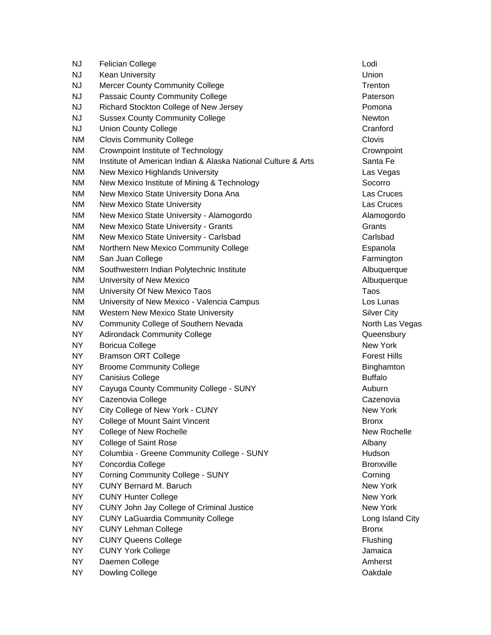| <b>NJ</b> | <b>Felician College</b>                                       | Lodi                |
|-----------|---------------------------------------------------------------|---------------------|
| <b>NJ</b> | <b>Kean University</b>                                        | Union               |
| <b>NJ</b> | <b>Mercer County Community College</b>                        | Trenton             |
| <b>NJ</b> | Passaic County Community College                              | Paterson            |
| <b>NJ</b> | Richard Stockton College of New Jersey                        | Pomona              |
| <b>NJ</b> | <b>Sussex County Community College</b>                        | Newton              |
| <b>NJ</b> | <b>Union County College</b>                                   | Cranford            |
| <b>NM</b> | <b>Clovis Community College</b>                               | Clovis              |
| <b>NM</b> | Crownpoint Institute of Technology                            | Crownpoir           |
| <b>NM</b> | Institute of American Indian & Alaska National Culture & Arts | Santa Fe            |
| <b>NM</b> | New Mexico Highlands University                               | Las Vegas           |
| <b>NM</b> | New Mexico Institute of Mining & Technology                   | Socorro             |
| NM        | New Mexico State University Dona Ana                          | Las Cruce           |
| ΝM        | <b>New Mexico State University</b>                            | Las Cruce           |
| <b>NM</b> | New Mexico State University - Alamogordo                      | Alamogord           |
| <b>NM</b> | New Mexico State University - Grants                          | Grants              |
| <b>NM</b> | New Mexico State University - Carlsbad                        | Carlsbad            |
| ΝM        | Northern New Mexico Community College                         | Espanola            |
| ΝM        | San Juan College                                              | Farmingtor          |
| <b>NM</b> | Southwestern Indian Polytechnic Institute                     | Albuquerq           |
| NM        | University of New Mexico                                      | Albuquerq           |
| NM        | University Of New Mexico Taos                                 | Taos                |
| <b>NM</b> | University of New Mexico - Valencia Campus                    | Los Lunas           |
| <b>NM</b> | <b>Western New Mexico State University</b>                    | <b>Silver City</b>  |
| <b>NV</b> | Community College of Southern Nevada                          | North Las           |
| <b>NY</b> | <b>Adirondack Community College</b>                           | Queensbu            |
| <b>NY</b> | <b>Boricua College</b>                                        | New York            |
| <b>NY</b> | <b>Bramson ORT College</b>                                    | <b>Forest Hill:</b> |
| NY.       | <b>Broome Community College</b>                               | Binghamto           |
| NY.       | <b>Canisius College</b>                                       | <b>Buffalo</b>      |
| <b>NY</b> | Cayuga County Community College - SUNY                        | Auburn              |
| <b>NY</b> | Cazenovia College                                             | Cazenovia           |
| NY.       | City College of New York - CUNY                               | New York            |
| <b>NY</b> | College of Mount Saint Vincent                                | <b>Bronx</b>        |
| <b>NY</b> | College of New Rochelle                                       | New Roch            |
| <b>NY</b> | <b>College of Saint Rose</b>                                  | Albany              |
| <b>NY</b> | Columbia - Greene Community College - SUNY                    | Hudson              |
| <b>NY</b> | Concordia College                                             | <b>Bronxville</b>   |
| <b>NY</b> | <b>Corning Community College - SUNY</b>                       | Corning             |
| <b>NY</b> | <b>CUNY Bernard M. Baruch</b>                                 | New York            |
| <b>NY</b> | <b>CUNY Hunter College</b>                                    | New York            |
| <b>NY</b> | CUNY John Jay College of Criminal Justice                     | New York            |
| <b>NY</b> | <b>CUNY LaGuardia Community College</b>                       | Long Islan          |
| <b>NY</b> | <b>CUNY Lehman College</b>                                    | <b>Bronx</b>        |
| <b>NY</b> | <b>CUNY Queens College</b>                                    | Flushing            |
| <b>NY</b> | <b>CUNY York College</b>                                      | Jamaica             |
| <b>NY</b> | Daemen College                                                | Amherst             |
| <b>NY</b> | Dowling College                                               | Oakdale             |
|           |                                                               |                     |

Crownpoint Santa Fe Las Vegas Las Cruces Las Cruces Alamogordo Espanola Farmington Albuquerque Albuquerque Los Lunas Silver City North Las Vegas Queensbury Forest Hills Binghamton Cazenovia New York New Rochelle Bronxville New York New York New York Long Island City Flushing **Jamaica**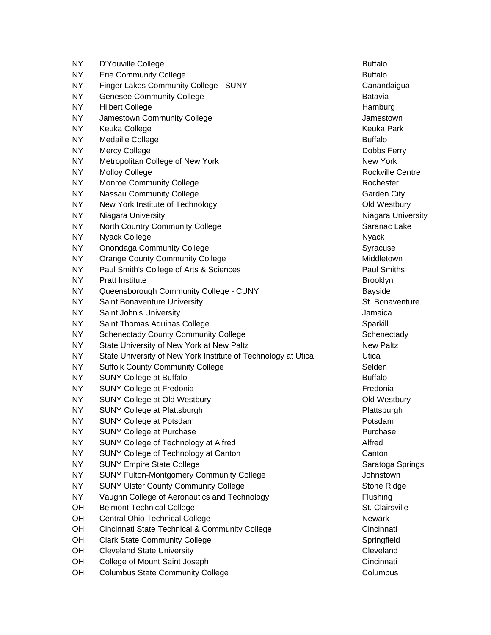NY D'Youville College Buffalo NY Erie Community College **Buffalo** Buffalo NY Finger Lakes Community College - SUNY Canandaigua NY Genesee Community College **Batavia** Batavia NY Hilbert College **Hamburg** Hamburg Hamburg Hamburg **Hamburg** NY Jamestown Community College Jamestown Jamestown NY Keuka College Keuka Park and the Second Library of the Keuka Park and the Keuka Park NY Medaille College **Buffalo** Buffalo NY Mercy College **Dobbs Ferry** NY Metropolitan College of New York New York New York New York NY Molloy College **Rockville Centre** Rockville Centre NY Monroe Community College Rochester Rochester NY Nassau Community College Contract Contract Contract City NY New York Institute of Technology **Contained Account Contained Account Contained Account Contained Account Contained Account Contained Account Contained Account Contained Account Contained Account Contained Account Conta** NY Niagara University Niagara University Niagara University NY North Country Community College Saranac Lake NY Nyack College National Collection Collection Collection Collection Collection Collection Collection National Collection Collection Collection Collection Collection Collection Collection Collection Collection Collection NY Onondaga Community College Syracuse Syracuse NY Orange County Community College Middletown Middletown NY Paul Smith's College of Arts & Sciences **Paul Smiths** Paul Smiths NY Pratt Institute **Brooklyn** NY Queensborough Community College - CUNY Bayside NY Saint Bonaventure University St. Bonaventure University St. Bonaventure NY Saint John's University **Superint Contact Contact Structure Contact Contact Contact Contact Contact Contact Contact Contact Contact Contact Contact Contact Contact Contact Contact Contact Contact Contact Contact Contact** NY Saint Thomas Aquinas College Sparkill Sparkill Sparkill NY Schenectady County Community College Schenectady Schenectady NY State University of New York at New Paltz New Paltz New Paltz NY State University of New York Institute of Technology at Utica Utica NY Suffolk County Community College Selden Selden NY SUNY College at Buffalo Buffalo Buffalo Buffalo Buffalo NY SUNY College at Fredonia **Francisco College at Fredonia** NY SUNY College at Old Westbury Contract Contract Contract Contract Contract Contract Contract Contract Contract Contract Contract Contract Contract Contract Contract Contract Contract Contract Contract Contract Contract C NY SUNY College at Plattsburgh **Plattsburgh Plattsburgh** Plattsburgh Plattsburgh NY SUNY College at Potsdam **Potsdam** Potsdam Potsdam Potsdam NY SUNY College at Purchase **Purchase** Purchase Purchase Purchase NY SUNY College of Technology at Alfred Alfred Alfred NY SUNY College of Technology at Canton Canton Canton Canton Canton Canton Canton Canton Canton Canton Canton Canton Canton Canton Canton Canton Canton Canton Canton Canton Canton Canton Canton Canton Canton Canton Canton NY SUNY Empire State College Saratoga Springs Saratoga Springs NY SUNY Fulton-Montgomery Community College Supervisors and Alexander Supervisors of the Supervisors of the Supervisors of the Supervisors of the Supervisors of the Supervisors of the Supervisors of the Supervisors of the NY SUNY Ulster County Community College Stone Ridge Stone Ridge NY Vaughn College of Aeronautics and Technology Flushing OH Belmont Technical College St. Clairsville OH Central Ohio Technical College Newark Newark OH Cincinnati State Technical & Community College Cincinnati Cincinnati OH Clark State Community College Springfield Springfield OH Cleveland State University Cleveland Cleveland Cleveland OH College of Mount Saint Joseph Contract College of Mount Saint Joseph Cincinnati OH Columbus State Community College Columbus Columbus Columbus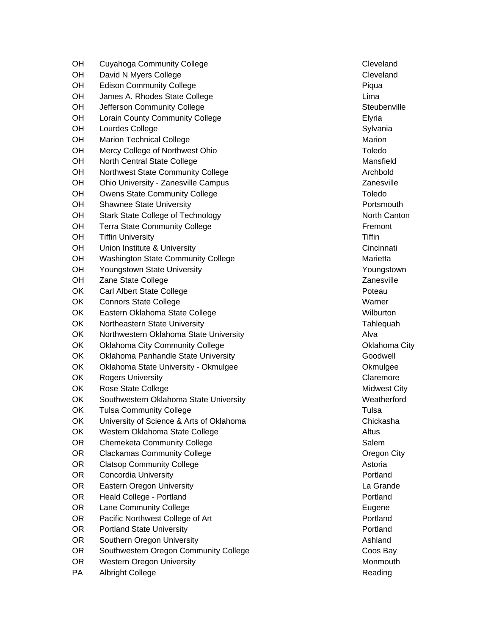OH Cuyahoga Community College Community College Cleveland OH David N Myers College Contract Contract Cleveland OH Edison Community College **Picture College** Piqua OH James A. Rhodes State College Lima OH Jefferson Community College Steubenville Steubenville OH Lorain County Community College **Elyant Containers** Elyria OH Lourdes College Sylvania OH Marion Technical College Marion Communication of the Marion Marion Marion OH Mercy College of Northwest Ohio Toledo Toledo Toledo OH North Central State College Mansfield Mansfield OH Northwest State Community College Archbold Archbold OH Ohio University - Zanesville Campus Zanesville Zanesville OH Owens State Community College The Community College Toledo OH Shawnee State University **Portsmouth** Portsmouth OH Stark State College of Technology North Canton North Canton OH Terra State Community College Fremont Contains a state of the Fremont OH Tiffin University The Communication of the Communication of the Tiffin Tiffin OH Union Institute & University Cincinnative Cincinnative Cincinnative Cincinnati OH Washington State Community College Marietta Marietta OH Youngstown State University New Youngstown Network Control of New Youngstown OH Zane State College Zanesville 2016 and 2016 2017 2018 2019 OK Carl Albert State College **Poteau** Poteau Poteau OK Connors State College Warner Warner Warner Warner OK Eastern Oklahoma State College Wilburton Nullburton OK Northeastern State University Tahlequah Northeastern State University Tahlequah OK Northwestern Oklahoma State University **Alva** Alva OK Oklahoma City Community College Community College Community College Community College Community College Community College Community College Community College Community College Community College Community College Communi OK Oklahoma Panhandle State University **Goodwell** Goodwell OK Oklahoma State University - Okmulgee **Oktabrish Containers** Okmulgee OK Rogers University **Claremore** Claremore OK Rose State College Midwest City OK Southwestern Oklahoma State University Network Channel Meatherford OK Tulsa Community College Tulsa and the College Tulsa OK University of Science & Arts of Oklahoma<br>
Chickasha OK Western Oklahoma State College Altus Altus Altus OR Chemeketa Community College Salem Salem Salem OR Clackamas Community College Community College Community College Community College Community College Community College OR Clatsop Community College **Astoria** Astoria OR Concordia University **Provides and Concordia University** Portland OR Eastern Oregon University **Containers** Containers and the Containers of the Containers Containers Containers Containers and the Containers Containers Containers Containers and the Containers Containers Containers Contai OR Heald College - Portland **Portland** Portland Portland Portland OR Lane Community College **Eugene Eugene** Eugene OR Pacific Northwest College of Art **Portland** Portland OR Portland State University **Provides** Portland Portland OR Southern Oregon University **Ashland CONSISTENT Ashland** OR Southwestern Oregon Community College Coos Bay OR Western Oregon University Montro American Control of Montro Montro Montro Montro Montro Montro Montro Montro Montro Music Studies PA Albright College **Reading** Reading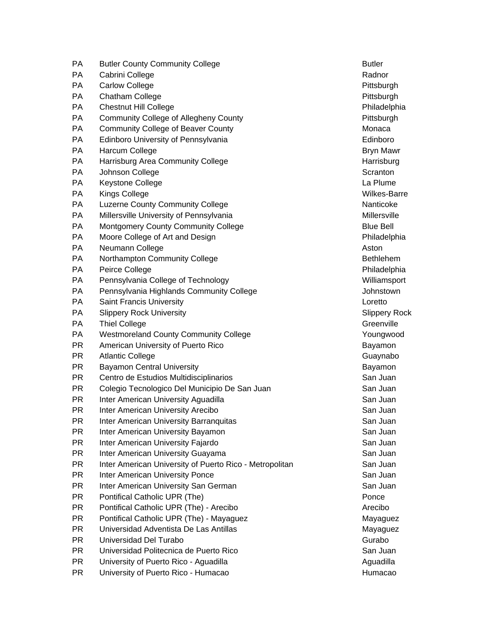- PA Butler County Community College **Butler** Butler PA Cabrini College Radnor New York 1999 (New York 1999) Radnor PA Carlow College **Participal Carlow College** Pittsburgh PA Chatham College **Philosophy** Pittsburgh Pittsburgh Pittsburgh Pittsburgh Pittsburgh Pittsburgh Pittsburgh Pittsburgh Pittsburgh Pittsburgh Pittsburgh Pittsburgh Pittsburgh Pittsburgh Pittsburgh Pittsburgh Pittsburgh Pit PA Chestnut Hill College Philadelphia PA Community College of Allegheny County **Property** Pittsburgh PA Community College of Beaver County Monaca PA Edinboro University of Pennsylvania Edinboro PA Harcum College Bryn Mawr Bryn Mawr Bryn Mawr Bryn Mawr Bryn Mawr Bryn Mawr Bryn Mawr Bryn Mawr Bryn Mawr Bryn Mawr Bryn Mawr Bryn Mawr Bryn Mawr Bryn Mawr Bryn Mawr Bryn Mawr Bryn Mawr Bryn Mawr Bryn Mawr Bryn Mawr Bryn PA Harrisburg Area Community College National Community College Harrisburg PA Johnson College Scranton Number of Scranton Scranton Scranton PA Keystone College La Plume La Plume La Plume La Plume PA Kings College Wilkes-Barre PA Luzerne County Community College Nanticoke Nanticoke PA Millersville University of Pennsylvania Millersville Millersville PA Montgomery County Community College **Blue Bell** Blue Bell PA Moore College of Art and Design Philadelphia Philadelphia PA Neumann College **Aston** PA Northampton Community College **Bethlehem** Bethlehem PA Peirce College **Philadelphia** PA Pennsylvania College of Technology Network College and Williamsport PA Pennsylvania Highlands Community College **Face Conferential College** Johnstown PA Saint Francis University **Solution Contract Contract Contract Contract Contract Contract Contract Contract Contract Contract Contract Contract Contract Contract Contract Contract Contract Contract Contract Contract Cont** PA Slippery Rock University Subsettion Subsettion Subsettion Slippery Rock Subsettion Subsettion Subsettion Subsettion Subsettion Subsettion Subsettion Subsettion Subsettion Subsettion Subsettion Subsettion Subsettion Subs PA Thiel College Greenville College Greenville PA Westmoreland County Community College The Manuscript Coungwood PR American University of Puerto Rico Bayamon Bayamon PR Atlantic College Guaynabo Guaynabo PR Bayamon Central University Bayamon Bayamon PR Centro de Estudios Multidisciplinarios Channel Communisty Control of San Juan PR Colegio Tecnologico Del Municipio De San Juan San Juan San Juan PR Inter American University Aguadilla San Juan San Juan PR Inter American University Arecibo **San Juan** San Juan PR Inter American University Barranquitas **San Juan** San Juan PR Inter American University Bayamon San Juan San Juan San Juan PR Inter American University Fajardo **San Juan** San Juan PR Inter American University Guayama San Juan San Juan San Juan PR Inter American University of Puerto Rico - Metropolitan San Juan PR Inter American University Ponce San Juan San Juan San Juan PR Inter American University San German San Juan San Juan San Juan PR Pontifical Catholic UPR (The) example the control of the ponce points of the ponce of the points of the ponce PR Pontifical Catholic UPR (The) - Arecibo Arecibo PR Pontifical Catholic UPR (The) - Mayaguez Mayaguez Mayaguez Mayaguez PR Universidad Adventista De Las Antillas Manuel Mayaguez PR Universidad Del Turabo Gurabo PR Universidad Politecnica de Puerto Rico **San Juan** San Juan PR University of Puerto Rico - Aguadilla Aguadilla Aguadilla Aguadilla Aguadilla
- PR University of Puerto Rico Humacao **Humacao Humacao** Humacao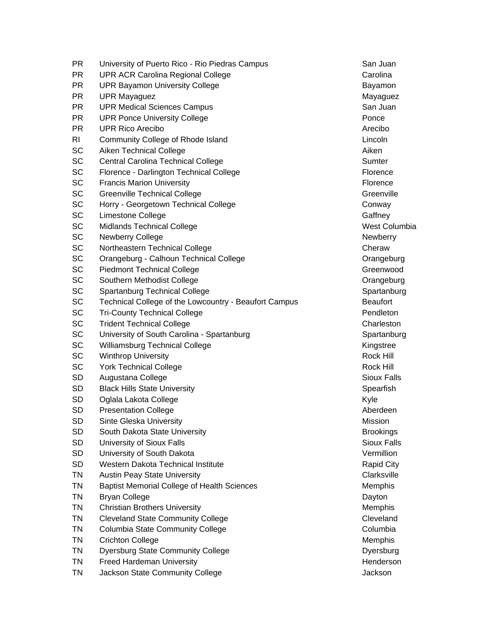PR University of Puerto Rico - Rio Piedras Campus San Juan San Juan PR UPR ACR Carolina Regional College Carolina Carolina PR UPR Bayamon University College **Bayamon** Bayamon PR UPR Mayaguez Mathematic Service Control of the Mayaguez Mayaguez Mayaguez Mayaguez PR UPR Medical Sciences Campus San Juan San Juan San Juan San Juan San Juan San Juan San Juan San Juan San Juan PR UPR Ponce University College **Property Property** Ponce PR UPR Rico Arecibo **Arecibo Arecibo Arecibo Arecibo** Arecibo Arecibo RI Community College of Rhode Island Lincoln Lincoln SC Aiken Technical College Aiken Aiken Aiken Aiken Aiken Aiken Aiken Aiken Aiken Aiken Aiken Aiken Aiken Aiken SC Central Carolina Technical College Sumter Sumter Sumter SC Florence - Darlington Technical College Florence Florence SC Francis Marion University **Figure 1.1 According to the Contract Contract Contract Contract Contract Contract Contract Contract Contract Contract Contract Contract Contract Contract Contract Contract Contract Contract Co** SC Greenville Technical College Greenville Greenville SC Horry - Georgetown Technical College New York Conway SC Limestone College Gaffney Gaffney SC Midlands Technical College West Columbia SC Newberry College News 2008 and 2009 and 2009 and 2009 and 2009 and 2009 and 2009 and 2009 and 2009 and 2009 and 2009 and 2009 and 2009 and 2009 and 2009 and 2009 and 2009 and 2009 and 2009 and 2009 and 2009 and 2009 and SC Northeastern Technical College Cheraw Cheraw SC Orangeburg - Calhoun Technical College Contract Contract Contract Contract Contract Contract Contract Contract Contract Contract Contract Contract Contract Contract Contract Contract Contract Contract Contract Contract SC Piedmont Technical College Greenwood Greenwood SC Southern Methodist College Contract College Contract College Contract College Contract College Contract College SC Spartanburg Technical College Spartanburg Spartanburg SC Technical College of the Lowcountry - Beaufort Campus Beaufort SC Tri-County Technical College **Pendleton** Pendleton SC Trident Technical College Charleston Charleston SC University of South Carolina - Spartanburg Spartanburg Spartanburg Spartanburg SC Williamsburg Technical College Kingstree Kingstree SC Winthrop University **Rock Hill** Rock Hill Rock Hill Rock Hill Rock Hill Rock Hill SC York Technical College Rock Hill Rock Hill Rock Hill Rock Hill Rock Hill Rock Hill Rock Hill Rock Hill Rock Hill SD Augustana College Sioux Falls SD Black Hills State University Spearfish Spearfish SD Oglala Lakota College Kyle SD Presentation College **Aberdeen** Aberdeen Aberdeen Aberdeen Aberdeen Aberdeen Aberdeen Aberdeen Aberdeen Aberdeen Aberdeen Aberdeen Aberdeen Aberdeen Aberdeen Aberdeen Aberdeen Aberdeen Aberdeen Aberdeen Aberdeen Aberdee SD Sinte Gleska University **Mission** Mission SD South Dakota State University Brookings Brookings SD University of Sioux Falls Since Sixteen Since Since Sioux Falls Since Since Since Since Since Since Since Since Since Since Since Since Since Since Since Since Since Since Since Since Since Since Since Since Since Since SD University of South Dakota Vermillion Control of the Vermillion Vermillion SD Western Dakota Technical Institute **Rapid City** Rapid City TN Austin Peay State University Clarksville Clarksville TN Baptist Memorial College of Health Sciences Memorial College of Health Sciences TN Bryan College Dayton College Dayton College Dayton Dayton College Dayton Dayton TN Christian Brothers University Members 2001 1991 1991 1992 1993 1994 1995 1996 1997 1998 1999 1999 1999 199 TN Cleveland State Community College Community College Cleveland TN Columbia State Community College Contract Control Columbia TN Crichton College Memphis TN Dyersburg State Community College **Dyersburg** Dyersburg TN Freed Hardeman University **Henderson** Henderson TN Jackson State Community College **Jackson** Jackson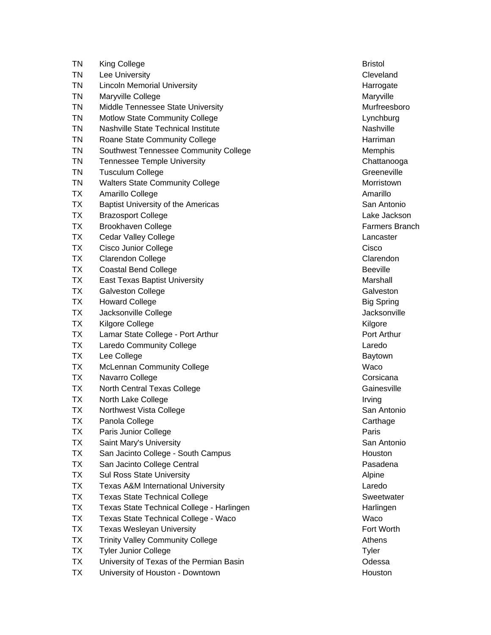| TN        | King College                                  | <b>Bristol</b>    |
|-----------|-----------------------------------------------|-------------------|
| ΤN        | Lee University                                | Cleveland         |
| ΤN        | <b>Lincoln Memorial University</b>            | Harrogate         |
| TN        | Maryville College                             | Maryville         |
| TN        | Middle Tennessee State University             | Murfreesb         |
| <b>TN</b> | <b>Motlow State Community College</b>         | Lynchburg         |
| TN        | <b>Nashville State Technical Institute</b>    | Nashville         |
| TN        | Roane State Community College                 | Harriman          |
| TN        | Southwest Tennessee Community College         | Memphis           |
| TN        | <b>Tennessee Temple University</b>            | Chattanod         |
| TN        | <b>Tusculum College</b>                       | Greenevill        |
| TN        | <b>Walters State Community College</b>        | Morristow         |
| ТX        | Amarillo College                              | Amarillo          |
| <b>TX</b> | Baptist University of the Americas            | San Antor         |
| <b>TX</b> | <b>Brazosport College</b>                     | Lake Jack         |
| <b>TX</b> | <b>Brookhaven College</b>                     | <b>Farmers E</b>  |
| ТX        | <b>Cedar Valley College</b>                   | Lancaster         |
| ТX        | Cisco Junior College                          | Cisco             |
| <b>TX</b> | Clarendon College                             | Clarendor         |
| <b>TX</b> | <b>Coastal Bend College</b>                   | <b>Beeville</b>   |
| ТX        | <b>East Texas Baptist University</b>          | Marshall          |
| <b>TX</b> | Galveston College                             | Galveston         |
| <b>TX</b> | <b>Howard College</b>                         | <b>Big Spring</b> |
| <b>TX</b> | Jacksonville College                          | Jacksonvi         |
| TX        | Kilgore College                               | Kilgore           |
| ТX        | Lamar State College - Port Arthur             | Port Arthu        |
| <b>TX</b> | <b>Laredo Community College</b>               | Laredo            |
| <b>TX</b> | Lee College                                   | Baytown           |
| ТX        | <b>McLennan Community College</b>             | Waco              |
| ТX        | Navarro College                               | Corsicana         |
| TX        | North Central Texas College                   | Gainesvill        |
| TX        | North Lake College                            | Irving            |
| ТX        | Northwest Vista College                       | San Antor         |
| TХ        | Panola College                                | Carthage          |
| ТX        | Paris Junior College                          | Paris             |
| TX        | Saint Mary's University                       | San Antor         |
| TX        | San Jacinto College - South Campus            | Houston           |
| TX        | San Jacinto College Central                   | Pasadena          |
| <b>TX</b> | <b>Sul Ross State University</b>              | Alpine            |
| <b>TX</b> | <b>Texas A&amp;M International University</b> | Laredo            |
| TX        | <b>Texas State Technical College</b>          | Sweetwat          |
| TX        | Texas State Technical College - Harlingen     | Harlingen         |
| TX        | Texas State Technical College - Waco          | Waco              |
| TX        | <b>Texas Wesleyan University</b>              | <b>Fort Worth</b> |
| TX        | <b>Trinity Valley Community College</b>       | Athens            |
| TX        | <b>Tyler Junior College</b>                   | Tyler             |
| <b>TX</b> | University of Texas of the Permian Basin      | Odessa            |
| TX        | University of Houston - Downtown              | Houston           |
|           |                                               |                   |

Cleveland Harrogate Maryville Murfreesboro Lynchburg Nashville **Memphis** Chattanooga Greeneville **Morristown** San Antonio Lake Jackson Farmers Branch Lancaster Clarendon Galveston Big Spring Jacksonville Port Arthur Baytown Corsicana Gainesville San Antonio Carthage San Antonio Pasadena Sweetwater Harlingen Fort Worth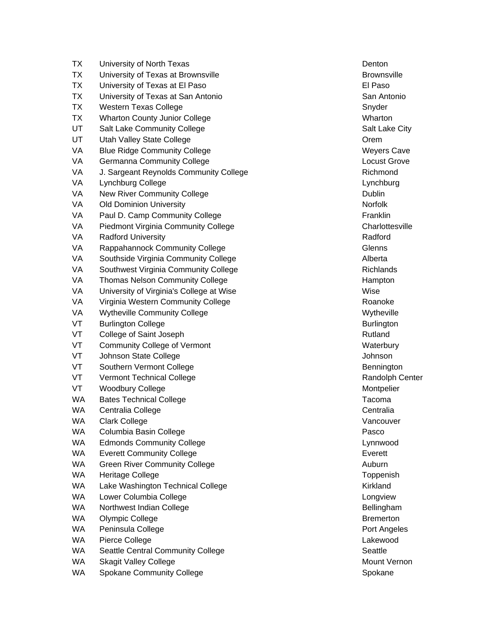| ТX        | University of North Texas                | Denton            |
|-----------|------------------------------------------|-------------------|
| <b>TX</b> | University of Texas at Brownsville       | <b>Brownsvil</b>  |
| <b>TX</b> | University of Texas at El Paso           | El Paso           |
| <b>TX</b> | University of Texas at San Antonio       | San Antor         |
| <b>TX</b> | Western Texas College                    | Snyder            |
| <b>TX</b> | <b>Wharton County Junior College</b>     | Wharton           |
| UT        | Salt Lake Community College              | Salt Lake         |
| UT        | Utah Valley State College                | Orem              |
| VA        | <b>Blue Ridge Community College</b>      | Weyers C          |
| VA        | Germanna Community College               | Locust Gr         |
| VA        | J. Sargeant Reynolds Community College   | Richmond          |
| VA        | Lynchburg College                        | Lynchburg         |
| VA        | New River Community College              | Dublin            |
| VA        | <b>Old Dominion University</b>           | Norfolk           |
| VA        | Paul D. Camp Community College           | Franklin          |
| VA        | Piedmont Virginia Community College      | Charlottes        |
| VA        | <b>Radford University</b>                | Radford           |
| VA        | Rappahannock Community College           | <b>Glenns</b>     |
| VA        | Southside Virginia Community College     | Alberta           |
| VA        | Southwest Virginia Community College     | Richlands         |
| VA        | <b>Thomas Nelson Community College</b>   | Hampton           |
| VA        | University of Virginia's College at Wise | Wise              |
| VA        | Virginia Western Community College       | Roanoke           |
| VA        | <b>Wytheville Community College</b>      | Wytheville        |
| VT        | <b>Burlington College</b>                | <b>Burlingtor</b> |
| VT        | College of Saint Joseph                  | Rutland           |
| VT        | <b>Community College of Vermont</b>      | Waterbury         |
| VT        | Johnson State College                    | Johnson           |
| VT        | Southern Vermont College                 | Benningto         |
| VT        | <b>Vermont Technical College</b>         | Randolph          |
| VT        | <b>Woodbury College</b>                  | Montpelie         |
| WA.       | <b>Bates Technical College</b>           | Tacoma            |
| <b>WA</b> | Centralia College                        | Centralia         |
| <b>WA</b> | <b>Clark College</b>                     | Vancouve          |
| WA.       | Columbia Basin College                   | Pasco             |
| WA        | <b>Edmonds Community College</b>         | Lynnwood          |
| <b>WA</b> | <b>Everett Community College</b>         | Everett           |
| WA        | <b>Green River Community College</b>     | Auburn            |
| WA        | Heritage College                         | Toppenisl         |
| WA        | Lake Washington Technical College        | Kirkland          |
| WA        | Lower Columbia College                   | Longview          |
| WA        | Northwest Indian College                 | Bellinghar        |
| WA        | Olympic College                          | <b>Bremertor</b>  |
| WA        | Peninsula College                        | Port Ange         |
| WA.       | Pierce College                           | Lakewood          |
| WA        | Seattle Central Community College        | Seattle           |
| WA        | <b>Skagit Valley College</b>             | Mount Ve          |
| WA        | <b>Spokane Community College</b>         | Spokane           |

Brownsville San Antonio Salt Lake City Weyers Cave Locust Grove va J. Sargeant Richmond Richmond Lynchburg Charlottesville Richlands Hampton Wytheville Burlington Waterbury Johnson Bennington Randolph Center **Montpelier** Vancouver Lynnwood Toppenish Longview Bellingham Bremerton Port Angeles Lakewood Mount Vernon